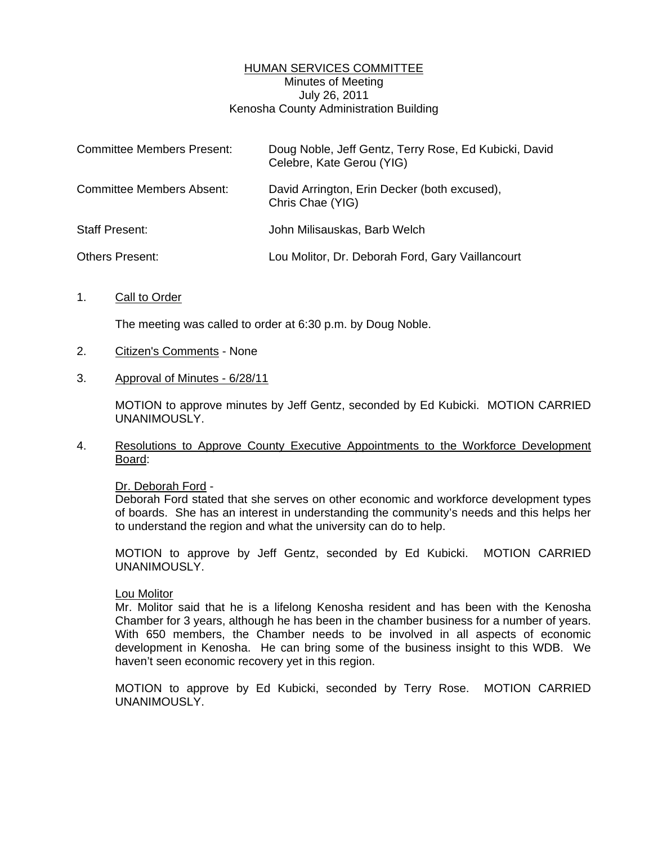## HUMAN SERVICES COMMITTEE Minutes of Meeting July 26, 2011 Kenosha County Administration Building

| <b>Committee Members Present:</b> | Doug Noble, Jeff Gentz, Terry Rose, Ed Kubicki, David<br>Celebre, Kate Gerou (YIG) |
|-----------------------------------|------------------------------------------------------------------------------------|
| <b>Committee Members Absent:</b>  | David Arrington, Erin Decker (both excused),<br>Chris Chae (YIG)                   |
| <b>Staff Present:</b>             | John Milisauskas, Barb Welch                                                       |
| <b>Others Present:</b>            | Lou Molitor, Dr. Deborah Ford, Gary Vaillancourt                                   |

1. Call to Order

The meeting was called to order at 6:30 p.m. by Doug Noble.

- 2. Citizen's Comments None
- 3. Approval of Minutes 6/28/11

 MOTION to approve minutes by Jeff Gentz, seconded by Ed Kubicki. MOTION CARRIED UNANIMOUSLY.

4. Resolutions to Approve County Executive Appointments to the Workforce Development Board:

Dr. Deborah Ford -

 Deborah Ford stated that she serves on other economic and workforce development types of boards. She has an interest in understanding the community's needs and this helps her to understand the region and what the university can do to help.

 MOTION to approve by Jeff Gentz, seconded by Ed Kubicki. MOTION CARRIED UNANIMOUSLY.

### Lou Molitor

 Mr. Molitor said that he is a lifelong Kenosha resident and has been with the Kenosha Chamber for 3 years, although he has been in the chamber business for a number of years. With 650 members, the Chamber needs to be involved in all aspects of economic development in Kenosha. He can bring some of the business insight to this WDB. We haven't seen economic recovery yet in this region.

 MOTION to approve by Ed Kubicki, seconded by Terry Rose. MOTION CARRIED UNANIMOUSLY.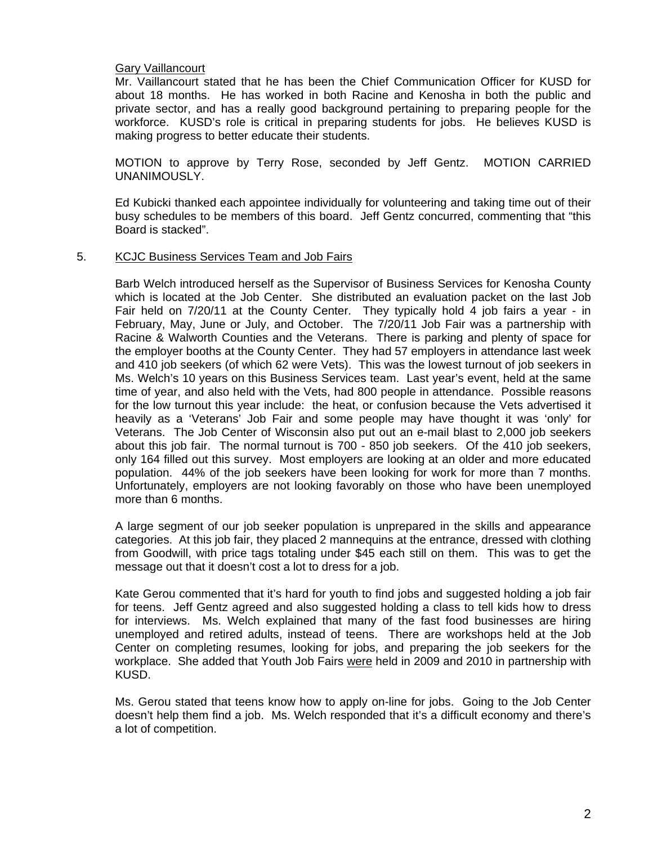# Gary Vaillancourt

 Mr. Vaillancourt stated that he has been the Chief Communication Officer for KUSD for about 18 months. He has worked in both Racine and Kenosha in both the public and private sector, and has a really good background pertaining to preparing people for the workforce. KUSD's role is critical in preparing students for jobs. He believes KUSD is making progress to better educate their students.

 MOTION to approve by Terry Rose, seconded by Jeff Gentz. MOTION CARRIED UNANIMOUSLY.

 Ed Kubicki thanked each appointee individually for volunteering and taking time out of their busy schedules to be members of this board. Jeff Gentz concurred, commenting that "this Board is stacked".

### 5. KCJC Business Services Team and Job Fairs

 Barb Welch introduced herself as the Supervisor of Business Services for Kenosha County which is located at the Job Center. She distributed an evaluation packet on the last Job Fair held on 7/20/11 at the County Center. They typically hold 4 job fairs a year - in February, May, June or July, and October. The 7/20/11 Job Fair was a partnership with Racine & Walworth Counties and the Veterans. There is parking and plenty of space for the employer booths at the County Center. They had 57 employers in attendance last week and 410 job seekers (of which 62 were Vets). This was the lowest turnout of job seekers in Ms. Welch's 10 years on this Business Services team. Last year's event, held at the same time of year, and also held with the Vets, had 800 people in attendance. Possible reasons for the low turnout this year include: the heat, or confusion because the Vets advertised it heavily as a 'Veterans' Job Fair and some people may have thought it was 'only' for Veterans. The Job Center of Wisconsin also put out an e-mail blast to 2,000 job seekers about this job fair. The normal turnout is 700 - 850 job seekers. Of the 410 job seekers, only 164 filled out this survey. Most employers are looking at an older and more educated population. 44% of the job seekers have been looking for work for more than 7 months. Unfortunately, employers are not looking favorably on those who have been unemployed more than 6 months.

 A large segment of our job seeker population is unprepared in the skills and appearance categories. At this job fair, they placed 2 mannequins at the entrance, dressed with clothing from Goodwill, with price tags totaling under \$45 each still on them. This was to get the message out that it doesn't cost a lot to dress for a job.

 Kate Gerou commented that it's hard for youth to find jobs and suggested holding a job fair for teens. Jeff Gentz agreed and also suggested holding a class to tell kids how to dress for interviews. Ms. Welch explained that many of the fast food businesses are hiring unemployed and retired adults, instead of teens. There are workshops held at the Job Center on completing resumes, looking for jobs, and preparing the job seekers for the workplace. She added that Youth Job Fairs were held in 2009 and 2010 in partnership with KUSD.

 Ms. Gerou stated that teens know how to apply on-line for jobs. Going to the Job Center doesn't help them find a job. Ms. Welch responded that it's a difficult economy and there's a lot of competition.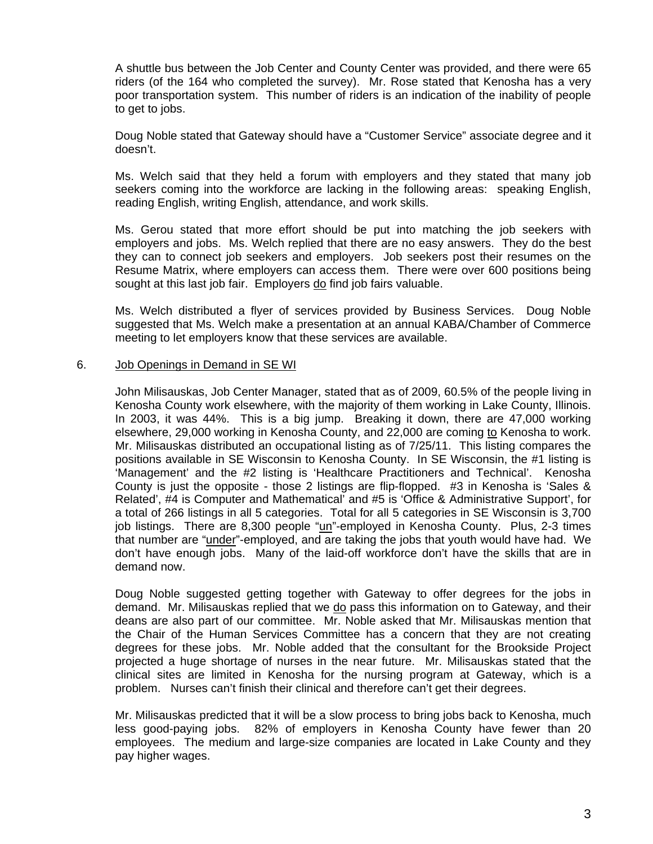A shuttle bus between the Job Center and County Center was provided, and there were 65 riders (of the 164 who completed the survey). Mr. Rose stated that Kenosha has a very poor transportation system. This number of riders is an indication of the inability of people to get to jobs.

 Doug Noble stated that Gateway should have a "Customer Service" associate degree and it doesn't.

 Ms. Welch said that they held a forum with employers and they stated that many job seekers coming into the workforce are lacking in the following areas: speaking English, reading English, writing English, attendance, and work skills.

 Ms. Gerou stated that more effort should be put into matching the job seekers with employers and jobs. Ms. Welch replied that there are no easy answers. They do the best they can to connect job seekers and employers. Job seekers post their resumes on the Resume Matrix, where employers can access them. There were over 600 positions being sought at this last job fair. Employers do find job fairs valuable.

 Ms. Welch distributed a flyer of services provided by Business Services. Doug Noble suggested that Ms. Welch make a presentation at an annual KABA/Chamber of Commerce meeting to let employers know that these services are available.

### 6. Job Openings in Demand in SE WI

 John Milisauskas, Job Center Manager, stated that as of 2009, 60.5% of the people living in Kenosha County work elsewhere, with the majority of them working in Lake County, Illinois. In 2003, it was 44%. This is a big jump. Breaking it down, there are 47,000 working elsewhere, 29,000 working in Kenosha County, and 22,000 are coming to Kenosha to work. Mr. Milisauskas distributed an occupational listing as of 7/25/11. This listing compares the positions available in SE Wisconsin to Kenosha County. In SE Wisconsin, the #1 listing is 'Management' and the #2 listing is 'Healthcare Practitioners and Technical'. Kenosha County is just the opposite - those 2 listings are flip-flopped. #3 in Kenosha is 'Sales & Related', #4 is Computer and Mathematical' and #5 is 'Office & Administrative Support', for a total of 266 listings in all 5 categories. Total for all 5 categories in SE Wisconsin is 3,700 job listings. There are 8,300 people "un"-employed in Kenosha County. Plus, 2-3 times that number are "under"-employed, and are taking the jobs that youth would have had. We don't have enough jobs. Many of the laid-off workforce don't have the skills that are in demand now.

 Doug Noble suggested getting together with Gateway to offer degrees for the jobs in demand. Mr. Milisauskas replied that we do pass this information on to Gateway, and their deans are also part of our committee. Mr. Noble asked that Mr. Milisauskas mention that the Chair of the Human Services Committee has a concern that they are not creating degrees for these jobs. Mr. Noble added that the consultant for the Brookside Project projected a huge shortage of nurses in the near future. Mr. Milisauskas stated that the clinical sites are limited in Kenosha for the nursing program at Gateway, which is a problem. Nurses can't finish their clinical and therefore can't get their degrees.

 Mr. Milisauskas predicted that it will be a slow process to bring jobs back to Kenosha, much less good-paying jobs. 82% of employers in Kenosha County have fewer than 20 employees. The medium and large-size companies are located in Lake County and they pay higher wages.